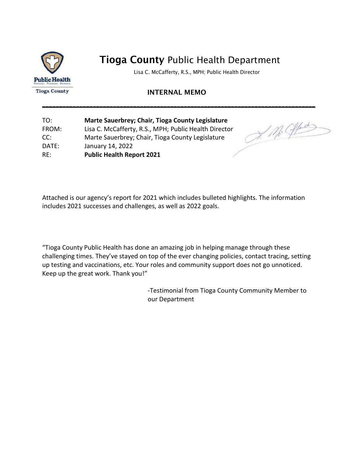

Lisa C. McCafferty, R.S., MPH; Public Health Director

#### INTERNAL MEMO

\_\_\_\_\_\_\_\_\_\_\_\_\_\_\_\_\_\_\_\_\_\_\_\_\_\_\_\_\_\_\_\_\_\_\_\_\_\_\_\_\_\_\_\_\_\_\_\_\_\_\_\_\_\_\_\_\_\_\_\_\_\_\_\_\_\_\_\_\_\_\_\_\_\_\_\_\_\_\_\_\_

| TO:   | Marte Sauerbrey; Chair, Tioga County Legislature      |
|-------|-------------------------------------------------------|
| FROM: | Lisa C. McCafferty, R.S., MPH; Public Health Director |
| CC:   | Marte Sauerbrey; Chair, Tioga County Legislature      |
| DATE: | January 14, 2022                                      |
| RE:   | <b>Public Health Report 2021</b>                      |

J. M. Offer

Attached is our agency's report for 2021 which includes bulleted highlights. The information includes 2021 successes and challenges, as well as 2022 goals.

"Tioga County Public Health has done an amazing job in helping manage through these challenging times. They've stayed on top of the ever changing policies, contact tracing, setting up testing and vaccinations, etc. Your roles and community support does not go unnoticed. Keep up the great work. Thank you!"

> -Testimonial from Tioga County Community Member to our Department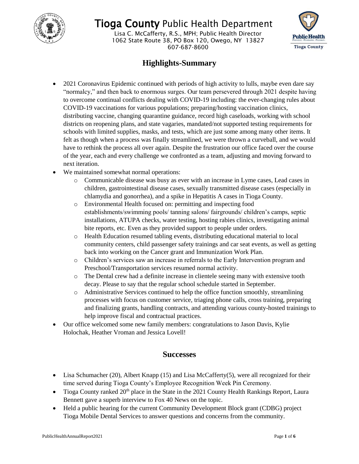

Lisa C. McCafferty, R.S., MPH; Public Health Director 1062 State Route 38, PO Box 120, Owego, NY 13827 607-687-8600



### **Highlights-Summary**

- 2021 Coronavirus Epidemic continued with periods of high activity to lulls, maybe even dare say "normalcy," and then back to enormous surges. Our team persevered through 2021 despite having to overcome continual conflicts dealing with COVID-19 including: the ever-changing rules about COVID-19 vaccinations for various populations; preparing/hosting vaccination clinics, distributing vaccine, changing quarantine guidance, record high caseloads, working with school districts on reopening plans, and state vagaries, mandated/not supported testing requirements for schools with limited supplies, masks, and tests, which are just some among many other items. It felt as though when a process was finally streamlined, we were thrown a curveball, and we would have to rethink the process all over again. Despite the frustration our office faced over the course of the year, each and every challenge we confronted as a team, adjusting and moving forward to next iteration.
- We maintained somewhat normal operations:
	- o Communicable disease was busy as ever with an increase in Lyme cases, Lead cases in children, gastrointestinal disease cases, sexually transmitted disease cases (especially in chlamydia and gonorrhea), and a spike in Hepatitis A cases in Tioga County.
	- o Environmental Health focused on: permitting and inspecting food establishments/swimming pools/ tanning salons/ fairgrounds/ children's camps, septic installations, ATUPA checks, water testing, hosting rabies clinics, investigating animal bite reports, etc. Even as they provided support to people under orders.
	- o Health Education resumed tabling events, distributing educational material to local community centers, child passenger safety trainings and car seat events, as well as getting back into working on the Cancer grant and Immunization Work Plan.
	- o Children's services saw an increase in referrals to the Early Intervention program and Preschool/Transportation services resumed normal activity.
	- o The Dental crew had a definite increase in clientele seeing many with extensive tooth decay. Please to say that the regular school schedule started in September.
	- o Administrative Services continued to help the office function smoothly, streamlining processes with focus on customer service, triaging phone calls, cross training, preparing and finalizing grants, handling contracts, and attending various county-hosted trainings to help improve fiscal and contractual practices.
- Our office welcomed some new family members: congratulations to Jason Davis, Kylie Holochak, Heather Vroman and Jessica Lovell!

#### **Successes**

- $\bullet$  Lisa Schumacher (20), Albert Knapp (15) and Lisa McCafferty(5), were all recognized for their time served during Tioga County's Employee Recognition Week Pin Ceremony.
- Tioga County ranked  $20<sup>th</sup>$  place in the State in the 2021 County Health Rankings Report, Laura Bennett gave a superb interview to Fox 40 News on the topic.
- Held a public hearing for the current Community Development Block grant (CDBG) project Tioga Mobile Dental Services to answer questions and concerns from the community.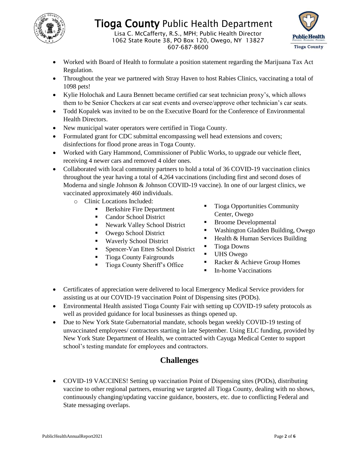

Lisa C. McCafferty, R.S., MPH; Public Health Director 1062 State Route 38, PO Box 120, Owego, NY 13827 607-687-8600



- Worked with Board of Health to formulate a position statement regarding the Marijuana Tax Act Regulation.
- Throughout the year we partnered with Stray Haven to host Rabies Clinics, vaccinating a total of 1098 pets!
- Kylie Holochak and Laura Bennett became certified car seat technician proxy's, which allows them to be Senior Checkers at car seat events and oversee/approve other technician's car seats.
- Todd Kopalek was invited to be on the Executive Board for the Conference of Environmental Health Directors.
- New municipal water operators were certified in Tioga County.
- Formulated grant for CDC submittal encompassing well head extensions and covers; disinfections for flood prone areas in Toga County.
- Worked with Gary Hammond, Commissioner of Public Works, to upgrade our vehicle fleet, receiving 4 newer cars and removed 4 older ones.
- Collaborated with local community partners to hold a total of 36 COVID-19 vaccination clinics throughout the year having a total of 4,264 vaccinations (including first and second doses of Moderna and single Johnson & Johnson COVID-19 vaccine). In one of our largest clinics, we vaccinated approximately 460 individuals.
	- o Clinic Locations Included:
		- Berkshire Fire Department
		- **Candor School District**
		- Newark Valley School District
		- Owego School District
		- **Waverly School District**
		- **Spencer-Van Etten School District**
		- **Tioga County Fairgrounds**
		- **Tioga County Sheriff's Office**
- Tioga Opportunities Community Center, Owego
- Broome Developmental
- Washington Gladden Building, Owego
- $\blacksquare$  Health & Human Services Building
- Tioga Downs
- UHS Owego
- Racker & Achieve Group Homes
- In-home Vaccinations
- Certificates of appreciation were delivered to local Emergency Medical Service providers for assisting us at our COVID-19 vaccination Point of Dispensing sites (PODs).
- Environmental Health assisted Tioga County Fair with setting up COVID-19 safety protocols as well as provided guidance for local businesses as things opened up.
- Due to New York State Gubernatorial mandate, schools began weekly COVID-19 testing of unvaccinated employees/ contractors starting in late September. Using ELC funding, provided by New York State Department of Health, we contracted with Cayuga Medical Center to support school's testing mandate for employees and contractors.

### **Challenges**

 COVID-19 VACCINES! Setting up vaccination Point of Dispensing sites (PODs), distributing vaccine to other regional partners, ensuring we targeted all Tioga County, dealing with no shows, continuously changing/updating vaccine guidance, boosters, etc. due to conflicting Federal and State messaging overlaps.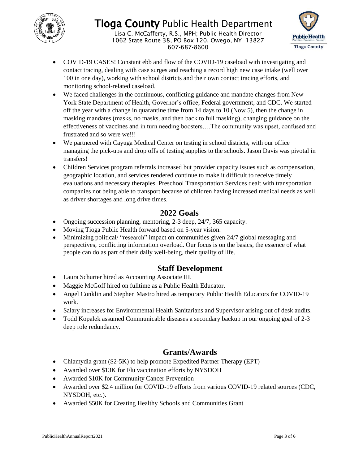

Lisa C. McCafferty, R.S., MPH; Public Health Director 1062 State Route 38, PO Box 120, Owego, NY 13827 607-687-8600



- COVID-19 CASES! Constant ebb and flow of the COVID-19 caseload with investigating and contact tracing, dealing with case surges and reaching a record high new case intake (well over 100 in one day), working with school districts and their own contact tracing efforts, and monitoring school-related caseload.
- We faced challenges in the continuous, conflicting guidance and mandate changes from New York State Department of Health, Governor's office, Federal government, and CDC. We started off the year with a change in quarantine time from 14 days to 10 (Now 5), then the change in masking mandates (masks, no masks, and then back to full masking), changing guidance on the effectiveness of vaccines and in turn needing boosters….The community was upset, confused and frustrated and so were we!!!
- We partnered with Cayuga Medical Center on testing in school districts, with our office managing the pick-ups and drop offs of testing supplies to the schools. Jason Davis was pivotal in transfers!
- Children Services program referrals increased but provider capacity issues such as compensation, geographic location, and services rendered continue to make it difficult to receive timely evaluations and necessary therapies. Preschool Transportation Services dealt with transportation companies not being able to transport because of children having increased medical needs as well as driver shortages and long drive times.

### **2022 Goals**

- Ongoing succession planning, mentoring, 2-3 deep, 24/7, 365 capacity.
- Moving Tioga Public Health forward based on 5-year vision.
- Minimizing political/ "research" impact on communities given 24/7 global messaging and perspectives, conflicting information overload. Our focus is on the basics, the essence of what people can do as part of their daily well-being, their quality of life.

### **Staff Development**

- Laura Schurter hired as Accounting Associate III.
- Maggie McGoff hired on fulltime as a Public Health Educator.
- Angel Conklin and Stephen Mastro hired as temporary Public Health Educators for COVID-19 work.
- Salary increases for Environmental Health Sanitarians and Supervisor arising out of desk audits.
- Todd Kopalek assumed Communicable diseases a secondary backup in our ongoing goal of 2-3 deep role redundancy.

### **Grants/Awards**

- Chlamydia grant (\$2-5K) to help promote Expedited Partner Therapy (EPT)
- Awarded over \$13K for Flu vaccination efforts by NYSDOH
- Awarded \$10K for Community Cancer Prevention
- Awarded over \$2.4 million for COVID-19 efforts from various COVID-19 related sources (CDC, NYSDOH, etc.).
- Awarded \$50K for Creating Healthy Schools and Communities Grant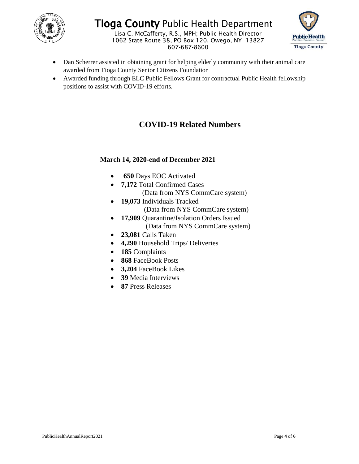

Lisa C. McCafferty, R.S., MPH; Public Health Director 1062 State Route 38, PO Box 120, Owego, NY 13827 607-687-8600



- Dan Scherrer assisted in obtaining grant for helping elderly community with their animal care awarded from Tioga County Senior Citizens Foundation
- Awarded funding through ELC Public Fellows Grant for contractual Public Health fellowship positions to assist with COVID-19 efforts.

### **COVID-19 Related Numbers**

#### **March 14, 2020-end of December 2021**

- **650** Days EOC Activated
- **7,172** Total Confirmed Cases
	- (Data from NYS CommCare system)
- **19,073** Individuals Tracked (Data from NYS CommCare system)
- **17,909** Quarantine/Isolation Orders Issued (Data from NYS CommCare system)
- **23,081** Calls Taken
- **4,290** Household Trips/ Deliveries
- **185** Complaints
- **868** FaceBook Posts
- **3,204** FaceBook Likes
- **39** Media Interviews
- **87** Press Releases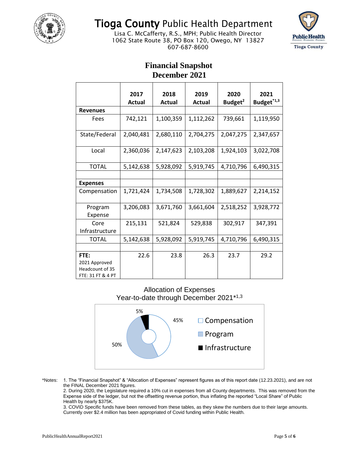

Lisa C. McCafferty, R.S., MPH; Public Health Director 1062 State Route 38, PO Box 120, Owego, NY 13827 607-687-8600



#### **Financial Snapshot December 2021**

|                                          | 2017          | 2018          | 2019          | 2020                | 2021                   |
|------------------------------------------|---------------|---------------|---------------|---------------------|------------------------|
|                                          | <b>Actual</b> | <b>Actual</b> | <b>Actual</b> | Budget <sup>2</sup> | Budget <sup>*1,3</sup> |
| <b>Revenues</b>                          |               |               |               |                     |                        |
| Fees                                     | 742,121       | 1,100,359     | 1,112,262     | 739,661             | 1,119,950              |
| State/Federal                            | 2,040,481     | 2,680,110     | 2,704,275     | 2,047,275           | 2,347,657              |
| Local                                    | 2,360,036     | 2,147,623     | 2,103,208     | 1,924,103           | 3,022,708              |
| <b>TOTAL</b>                             | 5,142,638     | 5,928,092     | 5,919,745     | 4,710,796           | 6,490,315              |
|                                          |               |               |               |                     |                        |
| <b>Expenses</b>                          |               |               |               |                     |                        |
| Compensation                             | 1,721,424     | 1,734,508     | 1,728,302     | 1,889,627           | 2,214,152              |
| Program                                  | 3,206,083     | 3,671,760     | 3,661,604     | 2,518,252           | 3,928,772              |
| Expense                                  |               |               |               |                     |                        |
| Core                                     | 215,131       | 521,824       | 529,838       | 302,917             | 347,391                |
| Infrastructure                           |               |               |               |                     |                        |
| <b>TOTAL</b>                             | 5,142,638     | 5,928,092     | 5,919,745     | 4,710,796           | 6,490,315              |
|                                          |               |               |               |                     |                        |
| FTE:<br>2021 Approved<br>Headcount of 35 | 22.6          | 23.8          | 26.3          | 23.7                | 29.2                   |
| FTE: 31 FT & 4 PT                        |               |               |               |                     |                        |

#### Allocation of Expenses Year-to-date through December 2021\*<sup>1,3</sup>



\*Notes: 1. The "Financial Snapshot" & "Allocation of Expenses" represent figures as of this report date (12.23.2021), and are not the FINAL December 2021 figures.

2. During 2020, the Legislature required a 10% cut in expenses from all County departments. This was removed from the Expense side of the ledger, but not the offsetting revenue portion, thus inflating the reported "Local Share" of Public Health by nearly \$375K.

3. COVID Specific funds have been removed from these tables, as they skew the numbers due to their large amounts. Currently over \$2.4 million has been appropriated of Covid funding within Public Health.